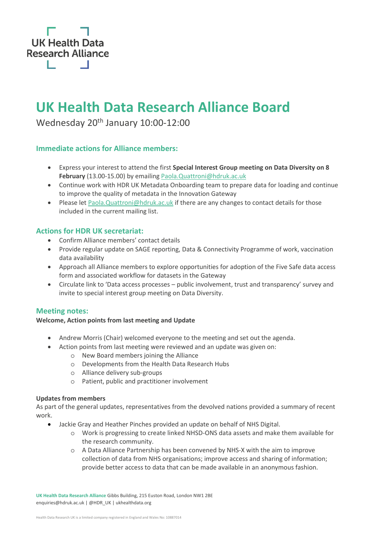

## **UK Health Data Research Alliance Board**

Wednesday 20<sup>th</sup> January 10:00-12:00

#### **Immediate actions for Alliance members:**

- Express your interest to attend the first **Special Interest Group meeting on Data Diversity on 8 February** (13.00-15.00) by emailin[g Paola.Quattroni@hdruk.ac.uk](mailto:Paola.Quattroni@hdruk.ac.uk)
- Continue work with HDR UK Metadata Onboarding team to prepare data for loading and continue to improve the quality of metadata in the Innovation Gateway
- Please let [Paola.Quattroni@hdruk.ac.uk](mailto:Paola.Quattroni@hdruk.ac.uk) if there are any changes to contact details for those included in the current mailing list.

#### **Actions for HDR UK secretariat:**

- Confirm Alliance members' contact details
- Provide regular update on SAGE reporting, Data & Connectivity Programme of work, vaccination data availability
- Approach all Alliance members to explore opportunities for adoption of the Five Safe data access form and associated workflow for datasets in the Gateway
- Circulate link to 'Data access processes public involvement, trust and transparency' survey and invite to special interest group meeting on Data Diversity.

#### **Meeting notes:**

#### **Welcome, Action points from last meeting and Update**

- Andrew Morris (Chair) welcomed everyone to the meeting and set out the agenda.
- Action points from last meeting were reviewed and an update was given on:
	- o New Board members joining the Alliance
	- o Developments from the Health Data Research Hubs
	- o Alliance delivery sub-groups
	- o Patient, public and practitioner involvement

#### **Updates from members**

As part of the general updates, representatives from the devolved nations provided a summary of recent work.

- Jackie Gray and Heather Pinches provided an update on behalf of NHS Digital.
	- o Work is progressing to create linked NHSD-ONS data assets and make them available for the research community.
	- o A Data Alliance Partnership has been convened by NHS-X with the aim to improve collection of data from NHS organisations; improve access and sharing of information; provide better access to data that can be made available in an anonymous fashion.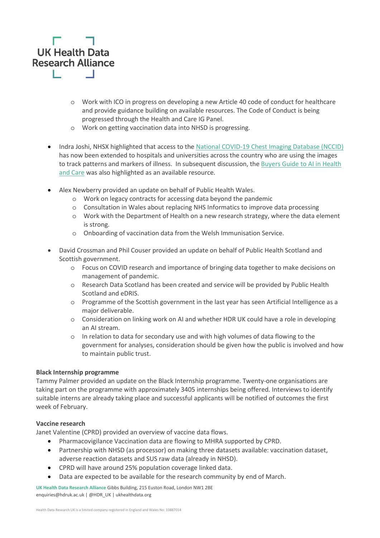

- o Work with ICO in progress on developing a new Article 40 code of conduct for healthcare and provide guidance building on available resources. The Code of Conduct is being progressed through the Health and Care IG Panel.
- o Work on getting vaccination data into NHSD is progressing.
- Indra Joshi, NHSX highlighted that access to the [National COVID-19 Chest Imaging Database \(NCCID\)](https://web.www.healthdatagateway.org/dataset/31f0148b-f965-4136-ab39-6c5bbbf8c2d9) has now been extended to hospitals and universities across the country who are using the images to track patterns and markers of illness. In subsequent discussion, the [Buyers Guide to AI in Health](https://www.nhsx.nhs.uk/media/documents/NHSX_A_Buyers_Guide_to_AI_in_Health_and_Care_KVjMIWP.pdf)  [and Care](https://www.nhsx.nhs.uk/media/documents/NHSX_A_Buyers_Guide_to_AI_in_Health_and_Care_KVjMIWP.pdf) was also highlighted as an available resource.
- Alex Newberry provided an update on behalf of Public Health Wales.
	- o Work on legacy contracts for accessing data beyond the pandemic
	- o Consultation in Wales about replacing NHS Informatics to improve data processing
	- o Work with the Department of Health on a new research strategy, where the data element is strong.
	- o Onboarding of vaccination data from the Welsh Immunisation Service.
- David Crossman and Phil Couser provided an update on behalf of Public Health Scotland and Scottish government.
	- o Focus on COVID research and importance of bringing data together to make decisions on management of pandemic.
	- o Research Data Scotland has been created and service will be provided by Public Health Scotland and eDRIS.
	- o Programme of the Scottish government in the last year has seen Artificial Intelligence as a major deliverable.
	- o Consideration on linking work on AI and whether HDR UK could have a role in developing an AI stream.
	- o In relation to data for secondary use and with high volumes of data flowing to the government for analyses, consideration should be given how the public is involved and how to maintain public trust.

#### **Black Internship programme**

Tammy Palmer provided an update on the Black Internship programme. Twenty-one organisations are taking part on the programme with approximately 3405 internships being offered. Interviews to identify suitable interns are already taking place and successful applicants will be notified of outcomes the first week of February.

#### **Vaccine research**

Janet Valentine (CPRD) provided an overview of vaccine data flows.

- Pharmacovigilance Vaccination data are flowing to MHRA supported by CPRD.
- Partnership with NHSD (as processor) on making three datasets available: vaccination dataset, adverse reaction datasets and SUS raw data (already in NHSD).
- CPRD will have around 25% population coverage linked data.
- Data are expected to be available for the research community by end of March.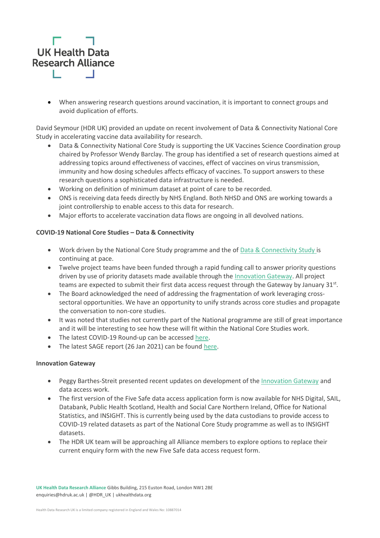

• When answering research questions around vaccination, it is important to connect groups and avoid duplication of efforts.

David Seymour (HDR UK) provided an update on recent involvement of Data & Connectivity National Core Study in accelerating vaccine data availability for research.

- Data & Connectivity National Core Study is supporting the UK Vaccines Science Coordination group chaired by Professor Wendy Barclay. The group has identified a set of research questions aimed at addressing topics around effectiveness of vaccines, effect of vaccines on virus transmission, immunity and how dosing schedules affects efficacy of vaccines. To support answers to these research questions a sophisticated data infrastructure is needed.
- Working on definition of minimum dataset at point of care to be recorded.
- ONS is receiving data feeds directly by NHS England. Both NHSD and ONS are working towards a joint controllership to enable access to this data for research.
- Major efforts to accelerate vaccination data flows are ongoing in all devolved nations.

#### **COVID-19 National Core Studies – Data & Connectivity**

- Work driven by the National Core Study programme and the of [Data & Connectivity Study](https://www.hdruk.ac.uk/covid-19/covid-19-national-core-studies/) is continuing at pace.
- Twelve project teams have been funded through a rapid funding call to answer priority questions driven by use of priority datasets made available through the [Innovation Gateway.](https://web.www.healthdatagateway.org/collection/6372136984450563) All project teams are expected to submit their first data access request through the Gateway by January 31st.
- The Board acknowledged the need of addressing the fragmentation of work leveraging crosssectoral opportunities. We have an opportunity to unify strands across core studies and propagate the conversation to non-core studies.
- It was noted that studies not currently part of the National programme are still of great importance and it will be interesting to see how these will fit within the National Core Studies work.
- The latest COVID-19 Round-up can be accessed [here.](https://www.hdruk.ac.uk/news/covid-19-research-roundup-28-january-2021/)
- The latest SAGE report (26 Jan 2021) can be found [here.](https://www.hdruk.ac.uk/wp-content/uploads/2021/01/2021-01-26-Health-Data-Research-UK-SAGE-report-2.pdf)

#### **Innovation Gateway**

- Peggy Barthes-Streit presented recent updates on development of the [Innovation Gateway](https://www.healthdatagateway.org/) and data access work.
- The first version of the Five Safe data access application form is now available for NHS Digital, SAIL, Databank, Public Health Scotland, Health and Social Care Northern Ireland, Office for National Statistics, and INSIGHT. This is currently being used by the data custodians to provide access to COVID-19 related datasets as part of the National Core Study programme as well as to INSIGHT datasets.
- The HDR UK team will be approaching all Alliance members to explore options to replace their current enquiry form with the new Five Safe data access request form.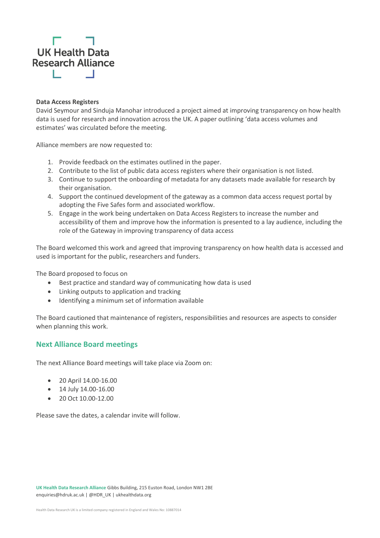# **UK Health Data Research Alliance**

#### **Data Access Registers**

David Seymour and Sinduja Manohar introduced a project aimed at improving transparency on how health data is used for research and innovation across the UK. A paper outlining 'data access volumes and estimates' was circulated before the meeting.

Alliance members are now requested to:

- 1. Provide feedback on the estimates outlined in the paper.
- 2. Contribute to the list of public data access registers where their organisation is not listed.
- 3. Continue to support the onboarding of metadata for any datasets made available for research by their organisation.
- 4. Support the continued development of the gateway as a common data access request portal by adopting the Five Safes form and associated workflow.
- 5. Engage in the work being undertaken on Data Access Registers to increase the number and accessibility of them and improve how the information is presented to a lay audience, including the role of the Gateway in improving transparency of data access

The Board welcomed this work and agreed that improving transparency on how health data is accessed and used is important for the public, researchers and funders.

The Board proposed to focus on

- Best practice and standard way of communicating how data is used
- Linking outputs to application and tracking
- Identifying a minimum set of information available

The Board cautioned that maintenance of registers, responsibilities and resources are aspects to consider when planning this work.

#### **Next Alliance Board meetings**

The next Alliance Board meetings will take place via Zoom on:

- 20 April 14.00-16.00
- 14 July 14.00-16.00
- 20 Oct 10.00-12.00

Please save the dates, a calendar invite will follow.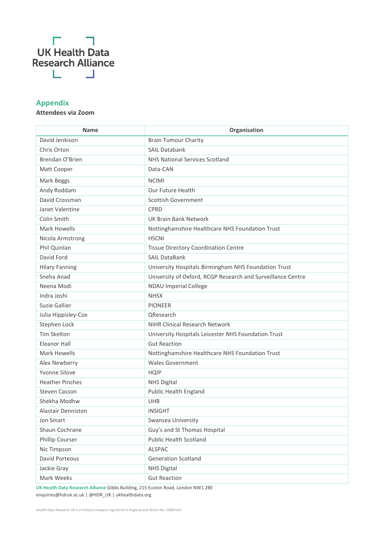

### **Appendix**

#### **Attendees via Zoom**

| <b>Name</b>            | Organisation                                                |
|------------------------|-------------------------------------------------------------|
| David Jenkison         | <b>Brain Tumour Charity</b>                                 |
| Chris Orton            | <b>SAIL Databank</b>                                        |
| Brendan O'Brien        | <b>NHS National Services Scotland</b>                       |
| Matt Cooper            | Data-CAN                                                    |
| Mark Beggs             | <b>NCIMI</b>                                                |
| Andy Roddam            | Our Future Health                                           |
| David Crossman         | <b>Scottish Government</b>                                  |
| Janet Valentine        | <b>CPRD</b>                                                 |
| Colin Smith            | <b>UK Brain Bank Network</b>                                |
| <b>Mark Howells</b>    | Nottinghamshire Healthcare NHS Foundation Trust             |
| Nicola Armstrong       | <b>HSCNI</b>                                                |
| Phil Quinlan           | <b>Tissue Directory Coordination Centre</b>                 |
| David Ford             | <b>SAIL DataBank</b>                                        |
| <b>Hilary Fanning</b>  | University Hospitals Birmingham NHS Foundation Trust        |
| Sneha Anad             | University of Oxford, RCGP Research and Surveillance Centre |
| Neena Modi             | <b>NDAU Imperial College</b>                                |
| Indra Joshi            | <b>NHSX</b>                                                 |
| Suzie Gallier          | <b>PIONEER</b>                                              |
| Julia Hippisley-Cox    | QResearch                                                   |
| Stephen Lock           | <b>NIHR Clinical Research Network</b>                       |
| <b>Tim Skelton</b>     | University Hospitals Leicester NHS Foundation Trust         |
| <b>Eleanor Hall</b>    | <b>Gut Reaction</b>                                         |
| <b>Mark Howells</b>    | Nottinghamshire Healthcare NHS Foundation Trust             |
| Alex Newberry          | <b>Wales Government</b>                                     |
| Yvonne Silove          | <b>HQIP</b>                                                 |
| <b>Heather Pinches</b> | <b>NHS Digital</b>                                          |
| <b>Steven Casson</b>   | Public Health England                                       |
| Shekha Modhw           | <b>UHB</b>                                                  |
| Alastair Denniston     | <b>INSIGHT</b>                                              |
| Jon Smart              | Swansea University                                          |
| Shaun Cochrane         | Guy's and St Thomas Hospital                                |
| Phillip Courser        | <b>Public Health Scotland</b>                               |
| Nic Timpson            | <b>ALSPAC</b>                                               |
| David Porteous         | <b>Generation Scotland</b>                                  |
| Jackie Gray            | <b>NHS Digital</b>                                          |
| Mark Weeks             | <b>Gut Reaction</b>                                         |